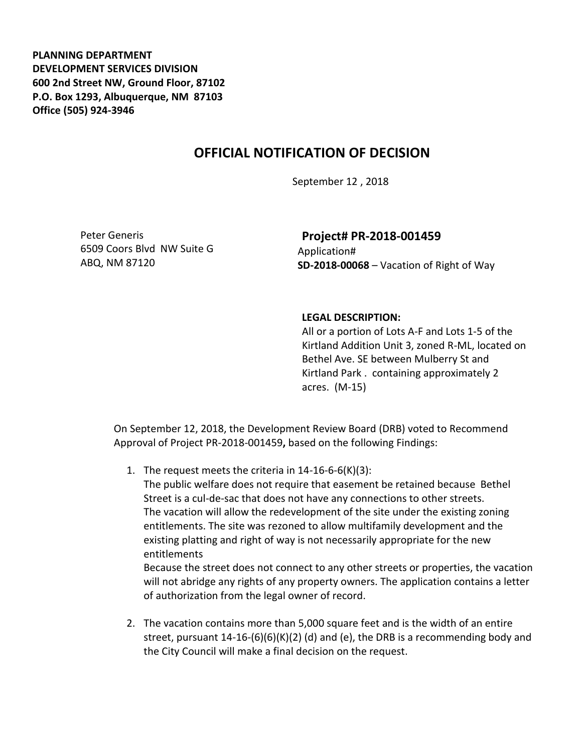**PLANNING DEPARTMENT DEVELOPMENT SERVICES DIVISION 600 2nd Street NW, Ground Floor, 87102 P.O. Box 1293, Albuquerque, NM 87103 Office (505) 924-3946** 

## **OFFICIAL NOTIFICATION OF DECISION**

September 12 , 2018

Peter Generis 6509 Coors Blvd NW Suite G ABQ, NM 87120

## **Project# PR-2018-001459** Application# **SD-2018-00068** – Vacation of Right of Way

## **LEGAL DESCRIPTION:**

All or a portion of Lots A-F and Lots 1-5 of the Kirtland Addition Unit 3, zoned R-ML, located on Bethel Ave. SE between Mulberry St and Kirtland Park . containing approximately 2 acres. (M-15)

On September 12, 2018, the Development Review Board (DRB) voted to Recommend Approval of Project PR-2018-001459**,** based on the following Findings:

1. The request meets the criteria in 14-16-6-6(K)(3):

The public welfare does not require that easement be retained because Bethel Street is a cul-de-sac that does not have any connections to other streets. The vacation will allow the redevelopment of the site under the existing zoning entitlements. The site was rezoned to allow multifamily development and the existing platting and right of way is not necessarily appropriate for the new entitlements

Because the street does not connect to any other streets or properties, the vacation will not abridge any rights of any property owners. The application contains a letter of authorization from the legal owner of record.

2. The vacation contains more than 5,000 square feet and is the width of an entire street, pursuant  $14-16-(6)(6)(K)(2)$  (d) and (e), the DRB is a recommending body and the City Council will make a final decision on the request.